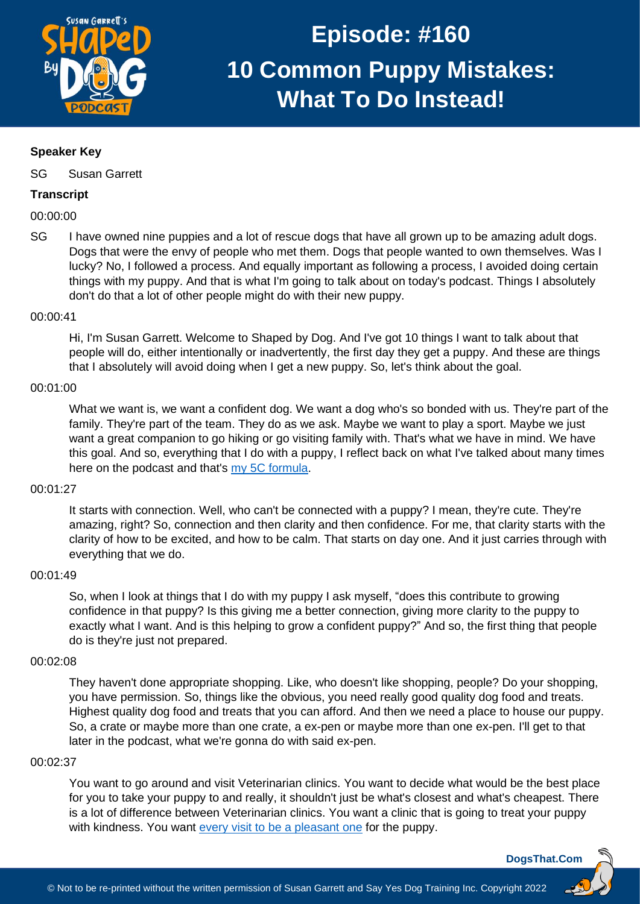

# **Speaker Key**

SG Susan Garrett

# **Transcript**

00:00:00

SG I have owned nine puppies and a lot of rescue dogs that have all grown up to be amazing adult dogs. Dogs that were the envy of people who met them. Dogs that people wanted to own themselves. Was I lucky? No, I followed a process. And equally important as following a process, I avoided doing certain things with my puppy. And that is what I'm going to talk about on today's podcast. Things I absolutely don't do that a lot of other people might do with their new puppy.

## 00:00:41

Hi, I'm Susan Garrett. Welcome to Shaped by Dog. And I've got 10 things I want to talk about that people will do, either intentionally or inadvertently, the first day they get a puppy. And these are things that I absolutely will avoid doing when I get a new puppy. So, let's think about the goal.

## 00:01:00

What we want is, we want a confident dog. We want a dog who's so bonded with us. They're part of the family. They're part of the team. They do as we ask. Maybe we want to play a sport. Maybe we just want a great companion to go hiking or go visiting family with. That's what we have in mind. We have this goal. And so, everything that I do with a puppy, I reflect back on what I've talked about many times here on the podcast and that's my 5C [formula.](https://dogsthat.com/podcast/21/)

# 00:01:27

It starts with connection. Well, who can't be connected with a puppy? I mean, they're cute. They're amazing, right? So, connection and then clarity and then confidence. For me, that clarity starts with the clarity of how to be excited, and how to be calm. That starts on day one. And it just carries through with everything that we do.

#### 00:01:49

So, when I look at things that I do with my puppy I ask myself, "does this contribute to growing confidence in that puppy? Is this giving me a better connection, giving more clarity to the puppy to exactly what I want. And is this helping to grow a confident puppy?" And so, the first thing that people do is they're just not prepared.

# 00:02:08

They haven't done appropriate shopping. Like, who doesn't like shopping, people? Do your shopping, you have permission. So, things like the obvious, you need really good quality dog food and treats. Highest quality dog food and treats that you can afford. And then we need a place to house our puppy. So, a crate or maybe more than one crate, a ex-pen or maybe more than one ex-pen. I'll get to that later in the podcast, what we're gonna do with said ex-pen.

#### 00:02:37

You want to go around and visit Veterinarian clinics. You want to decide what would be the best place for you to take your puppy to and really, it shouldn't just be what's closest and what's cheapest. There is a lot of difference between Veterinarian clinics. You want a clinic that is going to treat your puppy with kindness. You want [every visit to be a pleasant one](https://youtu.be/VJc42BfNre4) for the puppy.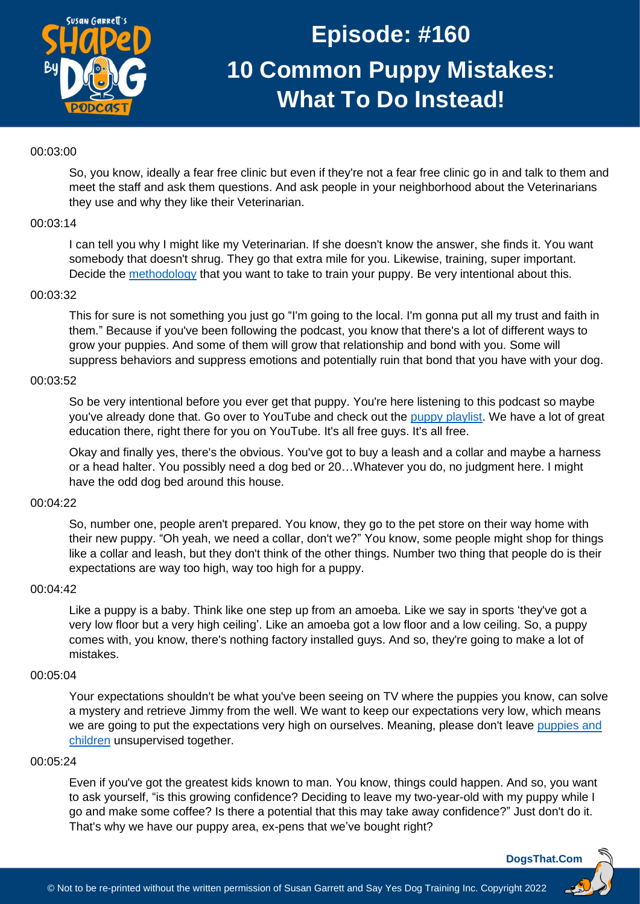

# 00:03:00

So, you know, ideally a fear free clinic but even if they're not a fear free clinic go in and talk to them and meet the staff and ask them questions. And ask people in your neighborhood about the Veterinarians they use and why they like their Veterinarian.

#### 00:03:14

I can tell you why I might like my Veterinarian. If she doesn't know the answer, she finds it. You want somebody that doesn't shrug. They go that extra mile for you. Likewise, training, super important. Decide the [methodology](https://dogsthat.com/podcast/146/) that you want to take to train your puppy. Be very intentional about this.

#### 00:03:32

This for sure is not something you just go "I'm going to the local. I'm gonna put all my trust and faith in them." Because if you've been following the podcast, you know that there's a lot of different ways to grow your puppies. And some of them will grow that relationship and bond with you. Some will suppress behaviors and suppress emotions and potentially ruin that bond that you have with your dog.

# 00:03:52

So be very intentional before you ever get that puppy. You're here listening to this podcast so maybe you've already done that. Go over to YouTube and check out the [puppy playlist.](https://youtube.com/playlist?list=PLphRRSxcMHy2hywpv3Md3HbWWPPbVF8W5) We have a lot of great education there, right there for you on YouTube. It's all free guys. It's all free.

Okay and finally yes, there's the obvious. You've got to buy a leash and a collar and maybe a harness or a head halter. You possibly need a dog bed or 20…Whatever you do, no judgment here. I might have the odd dog bed around this house.

#### 00:04:22

So, number one, people aren't prepared. You know, they go to the pet store on their way home with their new puppy. "Oh yeah, we need a collar, don't we?" You know, some people might shop for things like a collar and leash, but they don't think of the other things. Number two thing that people do is their expectations are way too high, way too high for a puppy.

#### 00:04:42

Like a puppy is a baby. Think like one step up from an amoeba. Like we say in sports 'they've got a very low floor but a very high ceiling'. Like an amoeba got a low floor and a low ceiling. So, a puppy comes with, you know, there's nothing factory installed guys. And so, they're going to make a lot of mistakes.

#### 00:05:04

Your expectations shouldn't be what you've been seeing on TV where the puppies you know, can solve a mystery and retrieve Jimmy from the well. We want to keep our expectations very low, which means we are going to put the expectations very high on ourselves. Meaning, please don't leave puppies and [children](https://dogsthat.com/podcast/58/) unsupervised together.

#### 00:05:24

Even if you've got the greatest kids known to man. You know, things could happen. And so, you want to ask yourself, "is this growing confidence? Deciding to leave my two-year-old with my puppy while I go and make some coffee? Is there a potential that this may take away confidence?" Just don't do it. That's why we have our puppy area, ex-pens that we've bought right?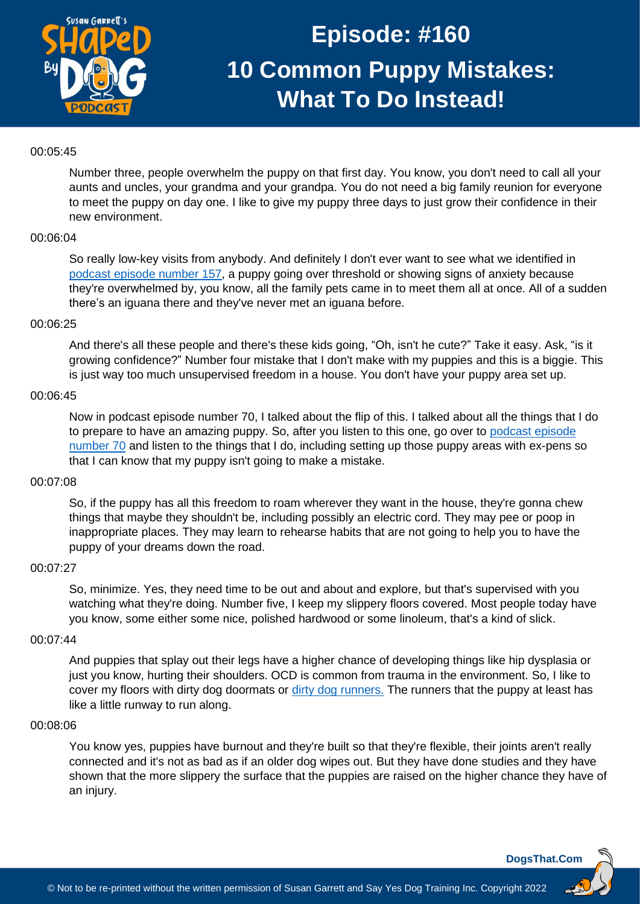

# 00:05:45

Number three, people overwhelm the puppy on that first day. You know, you don't need to call all your aunts and uncles, your grandma and your grandpa. You do not need a big family reunion for everyone to meet the puppy on day one. I like to give my puppy three days to just grow their confidence in their new environment.

# 00:06:04

So really low-key visits from anybody. And definitely I don't ever want to see what we identified in [podcast episode](https://dogsthat.com/podcast/157/) number 157, a puppy going over threshold or showing signs of anxiety because they're overwhelmed by, you know, all the family pets came in to meet them all at once. All of a sudden there's an iguana there and they've never met an iguana before.

#### 00:06:25

And there's all these people and there's these kids going, "Oh, isn't he cute?" Take it easy. Ask, "is it growing confidence?" Number four mistake that I don't make with my puppies and this is a biggie. This is just way too much unsupervised freedom in a house. You don't have your puppy area set up.

#### 00:06:45

Now in podcast episode number 70, I talked about the flip of this. I talked about all the things that I do to prepare to have an amazing puppy. So, after you listen to this one, go over to [podcast episode](https://dogsthat.com/podcast/70/)  [number 70](https://dogsthat.com/podcast/70/) and listen to the things that I do, including setting up those puppy areas with ex-pens so that I can know that my puppy isn't going to make a mistake.

#### 00:07:08

So, if the puppy has all this freedom to roam wherever they want in the house, they're gonna chew things that maybe they shouldn't be, including possibly an electric cord. They may pee or poop in inappropriate places. They may learn to rehearse habits that are not going to help you to have the puppy of your dreams down the road.

#### 00:07:27

So, minimize. Yes, they need time to be out and about and explore, but that's supervised with you watching what they're doing. Number five, I keep my slippery floors covered. Most people today have you know, some either some nice, polished hardwood or some linoleum, that's a kind of slick.

#### 00:07:44

And puppies that splay out their legs have a higher chance of developing things like hip dysplasia or just you know, hurting their shoulders. OCD is common from trauma in the environment. So, I like to cover my floors with dirty dog doormats or [dirty dog runners.](https://www.amazon.com/Dog-Gone-Smart-Doormat-Runner/dp/B07H92738F/) The runners that the puppy at least has like a little runway to run along.

#### 00:08:06

You know yes, puppies have burnout and they're built so that they're flexible, their joints aren't really connected and it's not as bad as if an older dog wipes out. But they have done studies and they have shown that the more slippery the surface that the puppies are raised on the higher chance they have of an injury.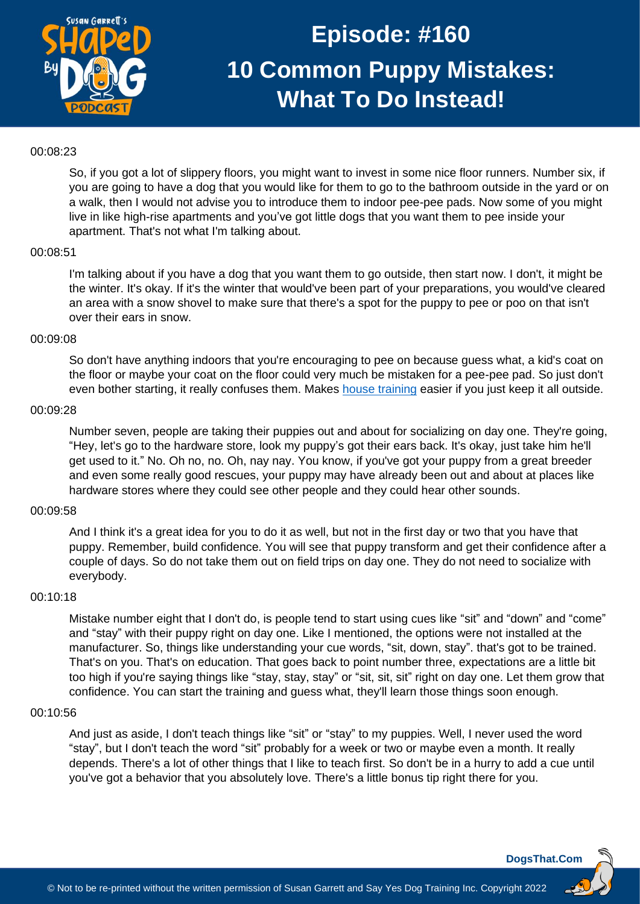

## 00:08:23

So, if you got a lot of slippery floors, you might want to invest in some nice floor runners. Number six, if you are going to have a dog that you would like for them to go to the bathroom outside in the yard or on a walk, then I would not advise you to introduce them to indoor pee-pee pads. Now some of you might live in like high-rise apartments and you've got little dogs that you want them to pee inside your apartment. That's not what I'm talking about.

#### 00:08:51

I'm talking about if you have a dog that you want them to go outside, then start now. I don't, it might be the winter. It's okay. If it's the winter that would've been part of your preparations, you would've cleared an area with a snow shovel to make sure that there's a spot for the puppy to pee or poo on that isn't over their ears in snow.

#### 00:09:08

So don't have anything indoors that you're encouraging to pee on because guess what, a kid's coat on the floor or maybe your coat on the floor could very much be mistaken for a pee-pee pad. So just don't even bother starting, it really confuses them. Makes [house training](https://dogsthat.com/podcast/48/) easier if you just keep it all outside.

#### 00:09:28

Number seven, people are taking their puppies out and about for socializing on day one. They're going, "Hey, let's go to the hardware store, look my puppy's got their ears back. It's okay, just take him he'll get used to it." No. Oh no, no. Oh, nay nay. You know, if you've got your puppy from a great breeder and even some really good rescues, your puppy may have already been out and about at places like hardware stores where they could see other people and they could hear other sounds.

# 00:09:58

And I think it's a great idea for you to do it as well, but not in the first day or two that you have that puppy. Remember, build confidence. You will see that puppy transform and get their confidence after a couple of days. So do not take them out on field trips on day one. They do not need to socialize with everybody.

#### 00:10:18

Mistake number eight that I don't do, is people tend to start using cues like "sit" and "down" and "come" and "stay" with their puppy right on day one. Like I mentioned, the options were not installed at the manufacturer. So, things like understanding your cue words, "sit, down, stay". that's got to be trained. That's on you. That's on education. That goes back to point number three, expectations are a little bit too high if you're saying things like "stay, stay, stay" or "sit, sit, sit" right on day one. Let them grow that confidence. You can start the training and guess what, they'll learn those things soon enough.

#### 00:10:56

And just as aside, I don't teach things like "sit" or "stay" to my puppies. Well, I never used the word "stay", but I don't teach the word "sit" probably for a week or two or maybe even a month. It really depends. There's a lot of other things that I like to teach first. So don't be in a hurry to add a cue until you've got a behavior that you absolutely love. There's a little bonus tip right there for you.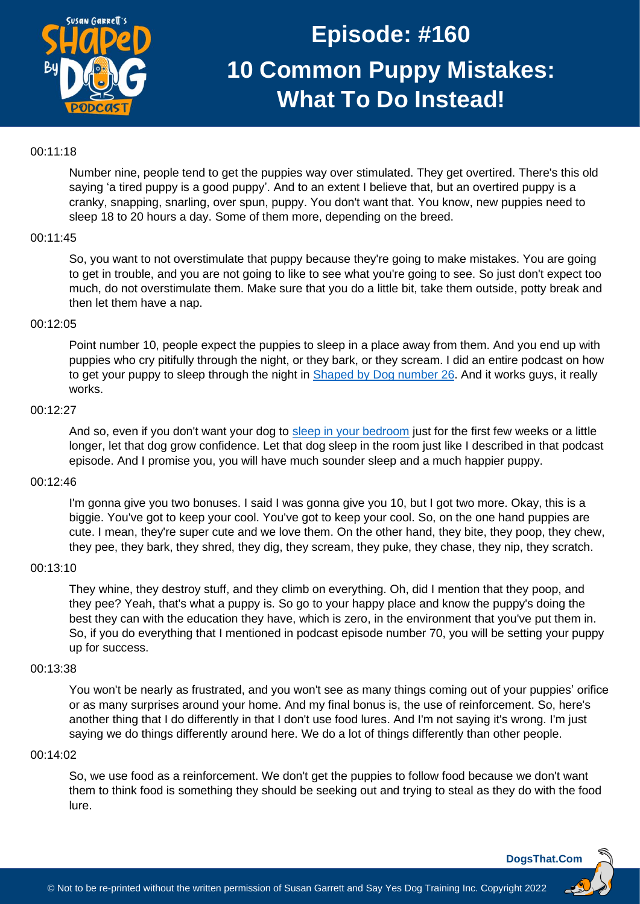

## 00:11:18

Number nine, people tend to get the puppies way over stimulated. They get overtired. There's this old saying 'a tired puppy is a good puppy'. And to an extent I believe that, but an overtired puppy is a cranky, snapping, snarling, over spun, puppy. You don't want that. You know, new puppies need to sleep 18 to 20 hours a day. Some of them more, depending on the breed.

## 00:11:45

So, you want to not overstimulate that puppy because they're going to make mistakes. You are going to get in trouble, and you are not going to like to see what you're going to see. So just don't expect too much, do not overstimulate them. Make sure that you do a little bit, take them outside, potty break and then let them have a nap.

#### 00:12:05

Point number 10, people expect the puppies to sleep in a place away from them. And you end up with puppies who cry pitifully through the night, or they bark, or they scream. I did an entire podcast on how to get your puppy to sleep through the night in Shaped [by Dog number 26.](https://dogsthat.com/podcast/26/) And it works guys, it really works.

#### 00:12:27

And so, even if you don't want your dog to [sleep in your bedroom](https://susangarrettdogagility.com/2020/03/dogs-sleeping-in-the-bedroom/) just for the first few weeks or a little longer, let that dog grow confidence. Let that dog sleep in the room just like I described in that podcast episode. And I promise you, you will have much sounder sleep and a much happier puppy.

#### 00:12:46

I'm gonna give you two bonuses. I said I was gonna give you 10, but I got two more. Okay, this is a biggie. You've got to keep your cool. You've got to keep your cool. So, on the one hand puppies are cute. I mean, they're super cute and we love them. On the other hand, they bite, they poop, they chew, they pee, they bark, they shred, they dig, they scream, they puke, they chase, they nip, they scratch.

#### 00:13:10

They whine, they destroy stuff, and they climb on everything. Oh, did I mention that they poop, and they pee? Yeah, that's what a puppy is. So go to your happy place and know the puppy's doing the best they can with the education they have, which is zero, in the environment that you've put them in. So, if you do everything that I mentioned in podcast episode number 70, you will be setting your puppy up for success.

## 00:13:38

You won't be nearly as frustrated, and you won't see as many things coming out of your puppies' orifice or as many surprises around your home. And my final bonus is, the use of reinforcement. So, here's another thing that I do differently in that I don't use food lures. And I'm not saying it's wrong. I'm just saying we do things differently around here. We do a lot of things differently than other people.

#### 00:14:02

So, we use food as a reinforcement. We don't get the puppies to follow food because we don't want them to think food is something they should be seeking out and trying to steal as they do with the food lure.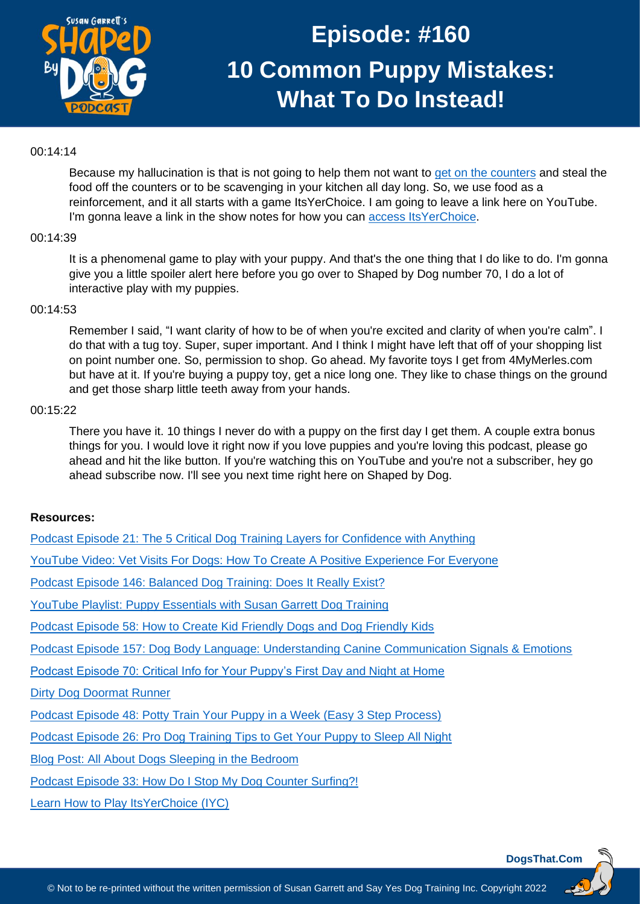

# 00:14:14

Because my hallucination is that is not going to help them not want to [get on the counters](https://dogsthat.com/podcast/33/) and steal the food off the counters or to be scavenging in your kitchen all day long. So, we use food as a reinforcement, and it all starts with a game ItsYerChoice. I am going to leave a link here on YouTube. I'm gonna leave a link in the show notes for how you can access [ItsYerChoice.](https://recallers.com/iycsummit-join/)

## 00:14:39

It is a phenomenal game to play with your puppy. And that's the one thing that I do like to do. I'm gonna give you a little spoiler alert here before you go over to Shaped by Dog number 70, I do a lot of interactive play with my puppies.

## 00:14:53

Remember I said, "I want clarity of how to be of when you're excited and clarity of when you're calm". I do that with a tug toy. Super, super important. And I think I might have left that off of your shopping list on point number one. So, permission to shop. Go ahead. My favorite toys I get from 4MyMerles.com but have at it. If you're buying a puppy toy, get a nice long one. They like to chase things on the ground and get those sharp little teeth away from your hands.

## 00:15:22

There you have it. 10 things I never do with a puppy on the first day I get them. A couple extra bonus things for you. I would love it right now if you love puppies and you're loving this podcast, please go ahead and hit the like button. If you're watching this on YouTube and you're not a subscriber, hey go ahead subscribe now. I'll see you next time right here on Shaped by Dog.

# **Resources:**

| Podcast Episode 21: The 5 Critical Dog Training Layers for Confidence with Anything           |
|-----------------------------------------------------------------------------------------------|
| YouTube Video: Vet Visits For Dogs: How To Create A Positive Experience For Everyone          |
| Podcast Episode 146: Balanced Dog Training: Does It Really Exist?                             |
| YouTube Playlist: Puppy Essentials with Susan Garrett Dog Training                            |
| Podcast Episode 58: How to Create Kid Friendly Dogs and Dog Friendly Kids                     |
| Podcast Episode 157: Dog Body Language: Understanding Canine Communication Signals & Emotions |
| Podcast Episode 70: Critical Info for Your Puppy's First Day and Night at Home                |
| <b>Dirty Dog Doormat Runner</b>                                                               |
| Podcast Episode 48: Potty Train Your Puppy in a Week (Easy 3 Step Process)                    |
| Podcast Episode 26: Pro Dog Training Tips to Get Your Puppy to Sleep All Night                |
| Blog Post: All About Dogs Sleeping in the Bedroom                                             |
| Podcast Episode 33: How Do I Stop My Dog Counter Surfing?!                                    |
| Learn How to Play Its Yer Choice (IYC)                                                        |
|                                                                                               |